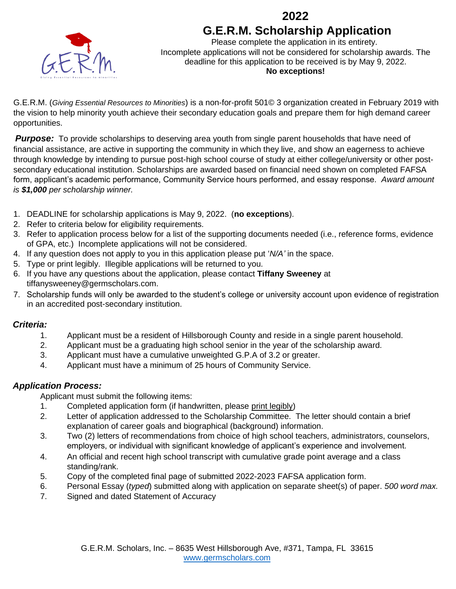



Please complete the application in its entirety. Incomplete applications will not be considered for scholarship awards. The deadline for this application to be received is by May 9, 2022. **No exceptions!**

G.E.R.M. (*Giving Essential Resources to Minorities*) is a non-for-profit 501© 3 organization created in February 2019 with the vision to help minority youth achieve their secondary education goals and prepare them for high demand career opportunities.

**Purpose:** To provide scholarships to deserving area youth from single parent households that have need of financial assistance, are active in supporting the community in which they live, and show an eagerness to achieve through knowledge by intending to pursue post-high school course of study at either college/university or other postsecondary educational institution. Scholarships are awarded based on financial need shown on completed FAFSA form, applicant's academic performance, Community Service hours performed, and essay response. *Award amount is \$1,000 per scholarship winner.*

- 1. DEADLINE for scholarship applications is May 9, 2022. (**no exceptions**).
- 2. Refer to criteria below for eligibility requirements.
- 3. Refer to application process below for a list of the supporting documents needed (i.e., reference forms, evidence of GPA, etc.) Incomplete applications will not be considered.
- 4. If any question does not apply to you in this application please put '*N/A'* in the space.
- 5. Type or print legibly. Illegible applications will be returned to you.
- 6. If you have any questions about the application, please contact **Tiffany Sweeney** at tiffanysweeney@germscholars.com.
- 7. Scholarship funds will only be awarded to the student's college or university account upon evidence of registration in an accredited post-secondary institution.

#### *Criteria:*

- 1. Applicant must be a resident of Hillsborough County and reside in a single parent household.
- 2. Applicant must be a graduating high school senior in the year of the scholarship award.
- 3. Applicant must have a cumulative unweighted G.P.A of 3.2 or greater.
- 4. Applicant must have a minimum of 25 hours of Community Service.

#### *Application Process:*

Applicant must submit the following items:

- 1. Completed application form (if handwritten, please print legibly)
- 2. Letter of application addressed to the Scholarship Committee. The letter should contain a brief explanation of career goals and biographical (background) information.
- 3. Two (2) letters of recommendations from choice of high school teachers, administrators, counselors, employers, or individual with significant knowledge of applicant's experience and involvement.
- 4. An official and recent high school transcript with cumulative grade point average and a class standing/rank.
- 5. Copy of the completed final page of submitted 2022-2023 FAFSA application form.
- 6. Personal Essay (*typed*) submitted along with application on separate sheet(s) of paper. *500 word max.*
- 7. Signed and dated Statement of Accuracy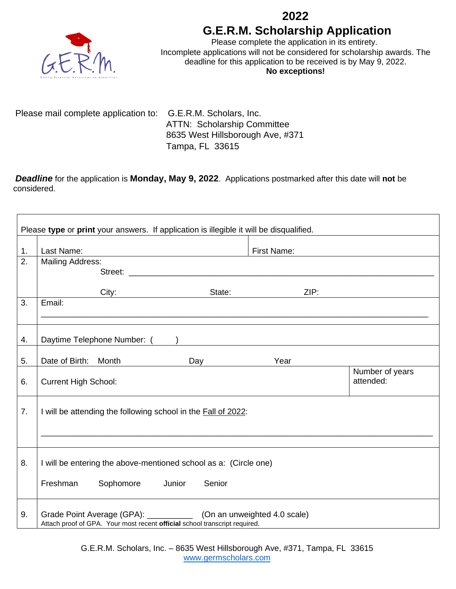

Please complete the application in its entirety. Incomplete applications will not be considered for scholarship awards. The deadline for this application to be received is by May 9, 2022. **No exceptions!**

Please mail complete application to: G.E.R.M. Scholars, Inc. ATTN: Scholarship Committee 8635 West Hillsborough Ave, #371 Tampa, FL 33615

*Deadline* for the application is **Monday, May 9, 2022**. Applications postmarked after this date will **not** be considered.

| Please type or print your answers. If application is illegible it will be disqualified. |                                                                                                                                                      |                                       |                              |                              |  |  |
|-----------------------------------------------------------------------------------------|------------------------------------------------------------------------------------------------------------------------------------------------------|---------------------------------------|------------------------------|------------------------------|--|--|
| 1.                                                                                      | Last Name:                                                                                                                                           |                                       | First Name:                  |                              |  |  |
| 2.                                                                                      | <b>Mailing Address:</b>                                                                                                                              |                                       |                              |                              |  |  |
|                                                                                         | City:                                                                                                                                                |                                       | ZIP:<br>State: <b>State:</b> |                              |  |  |
| 3.                                                                                      | Email:                                                                                                                                               |                                       |                              |                              |  |  |
| 4.                                                                                      | Daytime Telephone Number: ( )                                                                                                                        |                                       |                              |                              |  |  |
| 5.                                                                                      | Date of Birth: Month                                                                                                                                 | Day and the Day and the United States | Year                         |                              |  |  |
| 6.                                                                                      | <b>Current High School:</b>                                                                                                                          |                                       |                              | Number of years<br>attended: |  |  |
| 7.                                                                                      | I will be attending the following school in the Fall of 2022:                                                                                        |                                       |                              |                              |  |  |
|                                                                                         |                                                                                                                                                      |                                       |                              |                              |  |  |
| 8.                                                                                      | I will be entering the above-mentioned school as a: (Circle one)                                                                                     |                                       |                              |                              |  |  |
|                                                                                         | Freshman<br>Sophomore                                                                                                                                | Junior<br>Senior                      |                              |                              |  |  |
| 9.                                                                                      | Grade Point Average (GPA): ______________ (On an unweighted 4.0 scale)<br>Attach proof of GPA. Your most recent official school transcript required. |                                       |                              |                              |  |  |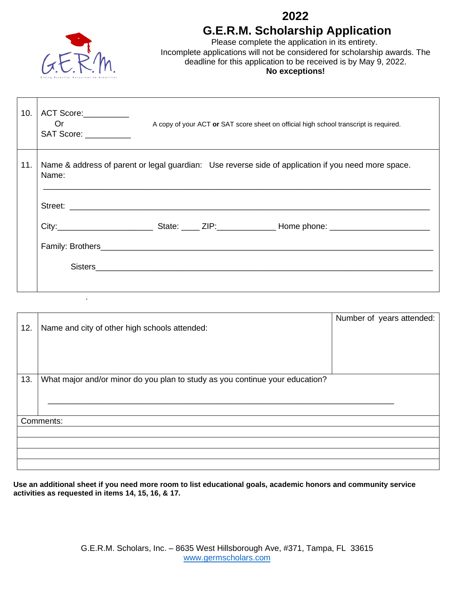

.

### **2022 G.E.R.M. Scholarship Application**

Please complete the application in its entirety. Incomplete applications will not be considered for scholarship awards. The deadline for this application to be received is by May 9, 2022. **No exceptions!**

| 10. | ACT Score:<br>0r<br>A copy of your ACT or SAT score sheet on official high school transcript is required.<br>SAT Score: __________ |  |  |
|-----|------------------------------------------------------------------------------------------------------------------------------------|--|--|
| 11. | Name & address of parent or legal guardian: Use reverse side of application if you need more space.<br>Name:                       |  |  |
|     | Sisters                                                                                                                            |  |  |

| 12. | Name and city of other high schools attended:                                | Number of years attended: |  |  |  |
|-----|------------------------------------------------------------------------------|---------------------------|--|--|--|
|     |                                                                              |                           |  |  |  |
| 13. | What major and/or minor do you plan to study as you continue your education? |                           |  |  |  |
|     |                                                                              |                           |  |  |  |
|     |                                                                              |                           |  |  |  |
|     |                                                                              |                           |  |  |  |
|     | Comments:                                                                    |                           |  |  |  |
|     |                                                                              |                           |  |  |  |
|     |                                                                              |                           |  |  |  |
|     |                                                                              |                           |  |  |  |
|     |                                                                              |                           |  |  |  |

**Use an additional sheet if you need more room to list educational goals, academic honors and community service activities as requested in items 14, 15, 16, & 17.**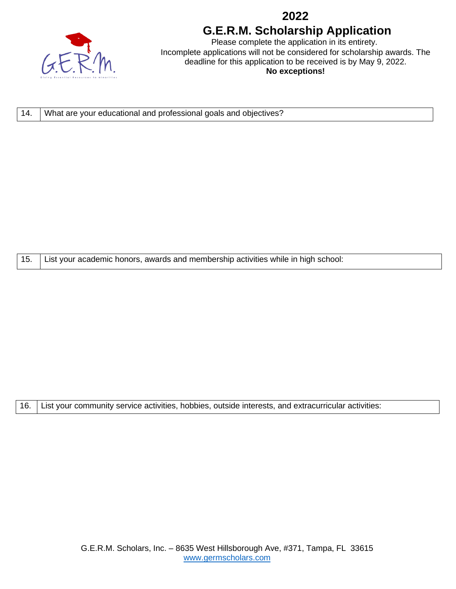

Please complete the application in its entirety. Incomplete applications will not be considered for scholarship awards. The deadline for this application to be received is by May 9, 2022. **No exceptions!**

14. What are your educational and professional goals and objectives?

15. List your academic honors, awards and membership activities while in high school:

16. List your community service activities, hobbies, outside interests, and extracurricular activities: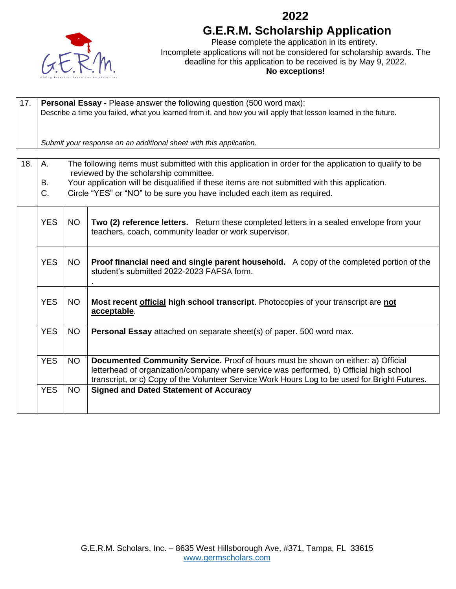

Please complete the application in its entirety. Incomplete applications will not be considered for scholarship awards. The deadline for this application to be received is by May 9, 2022. **No exceptions!**

| 17. | Personal Essay - Please answer the following question (500 word max):<br>Describe a time you failed, what you learned from it, and how you will apply that lesson learned in the future. |           |                                                                                                                                                                                                                                                                               |  |  |  |  |
|-----|------------------------------------------------------------------------------------------------------------------------------------------------------------------------------------------|-----------|-------------------------------------------------------------------------------------------------------------------------------------------------------------------------------------------------------------------------------------------------------------------------------|--|--|--|--|
|     | Submit your response on an additional sheet with this application.                                                                                                                       |           |                                                                                                                                                                                                                                                                               |  |  |  |  |
|     |                                                                                                                                                                                          |           |                                                                                                                                                                                                                                                                               |  |  |  |  |
| 18. | The following items must submitted with this application in order for the application to qualify to be<br>A.<br>reviewed by the scholarship committee.                                   |           |                                                                                                                                                                                                                                                                               |  |  |  |  |
|     | Your application will be disqualified if these items are not submitted with this application.<br>В.                                                                                      |           |                                                                                                                                                                                                                                                                               |  |  |  |  |
|     | C.                                                                                                                                                                                       |           | Circle "YES" or "NO" to be sure you have included each item as required.                                                                                                                                                                                                      |  |  |  |  |
|     | <b>YES</b>                                                                                                                                                                               | <b>NO</b> | Two (2) reference letters. Return these completed letters in a sealed envelope from your<br>teachers, coach, community leader or work supervisor.                                                                                                                             |  |  |  |  |
|     | <b>YES</b>                                                                                                                                                                               | <b>NO</b> | Proof financial need and single parent household. A copy of the completed portion of the<br>student's submitted 2022-2023 FAFSA form.                                                                                                                                         |  |  |  |  |
|     | <b>YES</b>                                                                                                                                                                               | <b>NO</b> | Most recent <i>official</i> high school transcript. Photocopies of your transcript are not<br>acceptable.                                                                                                                                                                     |  |  |  |  |
|     | <b>YES</b>                                                                                                                                                                               | <b>NO</b> | <b>Personal Essay</b> attached on separate sheet(s) of paper. 500 word max.                                                                                                                                                                                                   |  |  |  |  |
|     | <b>YES</b>                                                                                                                                                                               | <b>NO</b> | Documented Community Service. Proof of hours must be shown on either: a) Official<br>letterhead of organization/company where service was performed, b) Official high school<br>transcript, or c) Copy of the Volunteer Service Work Hours Log to be used for Bright Futures. |  |  |  |  |
|     | <b>YES</b>                                                                                                                                                                               | <b>NO</b> | <b>Signed and Dated Statement of Accuracy</b>                                                                                                                                                                                                                                 |  |  |  |  |
|     |                                                                                                                                                                                          |           |                                                                                                                                                                                                                                                                               |  |  |  |  |